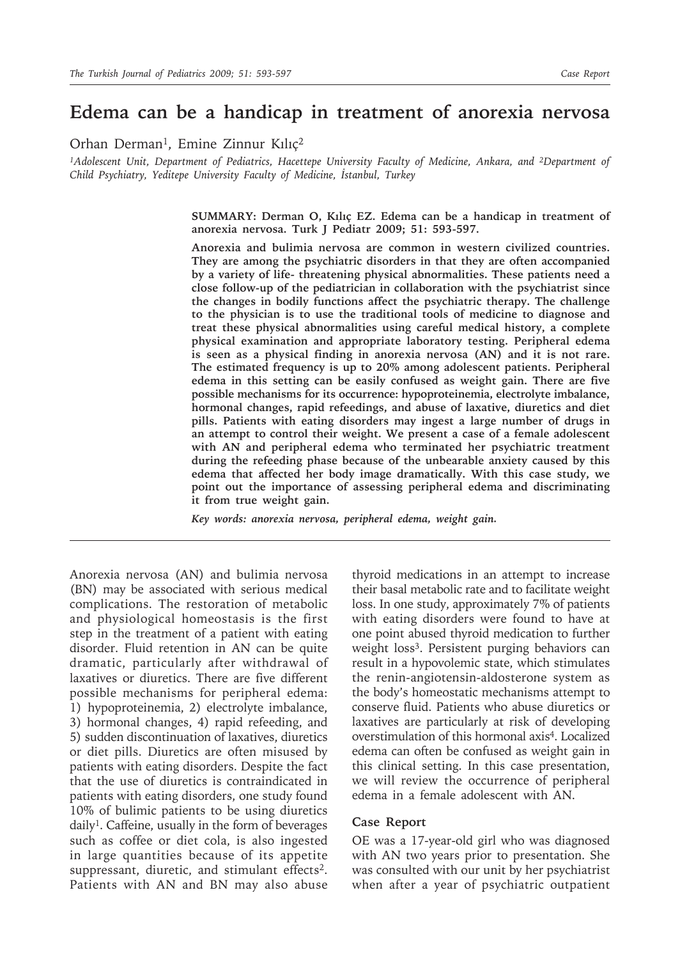## **Edema can be a handicap in treatment of anorexia nervosa**

Orhan Derman<sup>1</sup>, Emine Zinnur Kılıc<sup>2</sup>

<sup>1</sup>Adolescent Unit, Department of Pediatrics, Hacettepe University Faculty of Medicine, Ankara, and <sup>2</sup>Department of *Child Psychiatry, Yeditepe University Faculty of Medicine, İstanbul, Turkey*

> **SUMMARY: Derman O, Kılıç EZ. Edema can be a handicap in treatment of anorexia nervosa. Turk J Pediatr 2009; 51: 593-597.**

> **Anorexia and bulimia nervosa are common in western civilized countries. They are among the psychiatric disorders in that they are often accompanied by a variety of life- threatening physical abnormalities. These patients need a close follow-up of the pediatrician in collaboration with the psychiatrist since the changes in bodily functions affect the psychiatric therapy. The challenge to the physician is to use the traditional tools of medicine to diagnose and treat these physical abnormalities using careful medical history, a complete physical examination and appropriate laboratory testing. Peripheral edema is seen as a physical finding in anorexia nervosa (AN) and it is not rare. The estimated frequency is up to 20% among adolescent patients. Peripheral edema in this setting can be easily confused as weight gain. There are five possible mechanisms for its occurrence: hypoproteinemia, electrolyte imbalance, hormonal changes, rapid refeedings, and abuse of laxative, diuretics and diet pills. Patients with eating disorders may ingest a large number of drugs in an attempt to control their weight. We present a case of a female adolescent with AN and peripheral edema who terminated her psychiatric treatment during the refeeding phase because of the unbearable anxiety caused by this edema that affected her body image dramatically. With this case study, we point out the importance of assessing peripheral edema and discriminating it from true weight gain.**

*Key words: anorexia nervosa, peripheral edema, weight gain.*

Anorexia nervosa (AN) and bulimia nervosa (BN) may be associated with serious medical complications. The restoration of metabolic and physiological homeostasis is the first step in the treatment of a patient with eating disorder. Fluid retention in AN can be quite dramatic, particularly after withdrawal of laxatives or diuretics. There are five different possible mechanisms for peripheral edema: 1) hypoproteinemia, 2) electrolyte imbalance, 3) hormonal changes, 4) rapid refeeding, and 5) sudden discontinuation of laxatives, diuretics or diet pills. Diuretics are often misused by patients with eating disorders. Despite the fact that the use of diuretics is contraindicated in patients with eating disorders, one study found 10% of bulimic patients to be using diuretics daily1. Caffeine, usually in the form of beverages such as coffee or diet cola, is also ingested in large quantities because of its appetite suppressant, diuretic, and stimulant effects<sup>2</sup>. Patients with AN and BN may also abuse

thyroid medications in an attempt to increase their basal metabolic rate and to facilitate weight loss. In one study, approximately 7% of patients with eating disorders were found to have at one point abused thyroid medication to further weight loss<sup>3</sup>. Persistent purging behaviors can result in a hypovolemic state, which stimulates the renin-angiotensin-aldosterone system as the body's homeostatic mechanisms attempt to conserve fluid. Patients who abuse diuretics or laxatives are particularly at risk of developing overstimulation of this hormonal axis4. Localized edema can often be confused as weight gain in this clinical setting. In this case presentation, we will review the occurrence of peripheral edema in a female adolescent with AN.

## **Case Report**

OE was a 17-year-old girl who was diagnosed with AN two years prior to presentation. She was consulted with our unit by her psychiatrist when after a year of psychiatric outpatient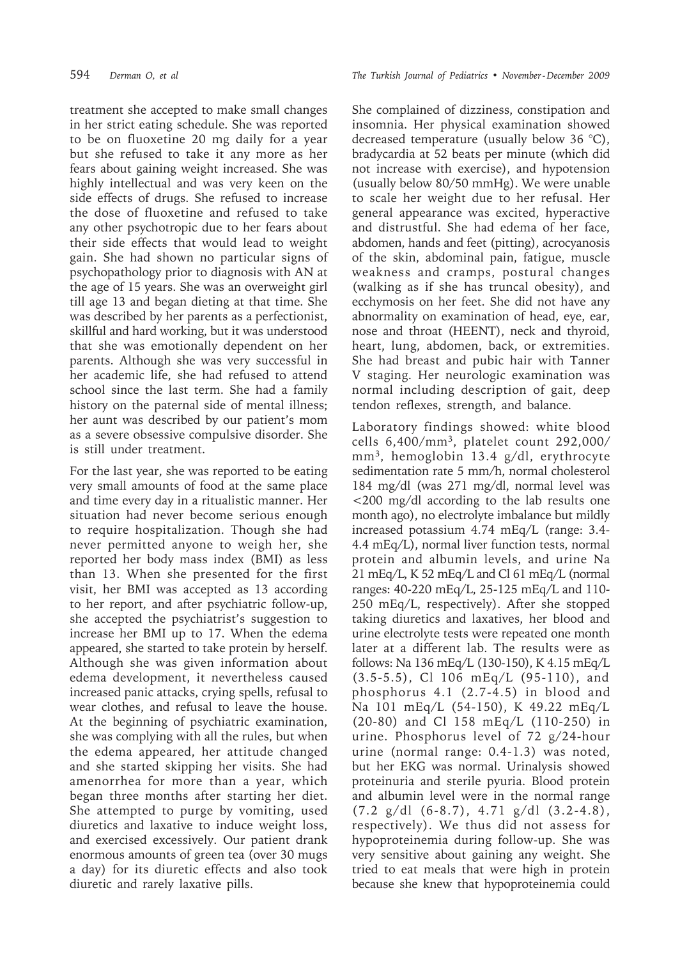treatment she accepted to make small changes in her strict eating schedule. She was reported to be on fluoxetine 20 mg daily for a year but she refused to take it any more as her fears about gaining weight increased. She was highly intellectual and was very keen on the side effects of drugs. She refused to increase the dose of fluoxetine and refused to take any other psychotropic due to her fears about their side effects that would lead to weight gain. She had shown no particular signs of psychopathology prior to diagnosis with AN at the age of 15 years. She was an overweight girl till age 13 and began dieting at that time. She was described by her parents as a perfectionist, skillful and hard working, but it was understood that she was emotionally dependent on her parents. Although she was very successful in her academic life, she had refused to attend school since the last term. She had a family history on the paternal side of mental illness; her aunt was described by our patient's mom as a severe obsessive compulsive disorder. She is still under treatment.

For the last year, she was reported to be eating very small amounts of food at the same place and time every day in a ritualistic manner. Her situation had never become serious enough to require hospitalization. Though she had never permitted anyone to weigh her, she reported her body mass index (BMI) as less than 13. When she presented for the first visit, her BMI was accepted as 13 according to her report, and after psychiatric follow-up, she accepted the psychiatrist's suggestion to increase her BMI up to 17. When the edema appeared, she started to take protein by herself. Although she was given information about edema development, it nevertheless caused increased panic attacks, crying spells, refusal to wear clothes, and refusal to leave the house. At the beginning of psychiatric examination, she was complying with all the rules, but when the edema appeared, her attitude changed and she started skipping her visits. She had amenorrhea for more than a year, which began three months after starting her diet. She attempted to purge by vomiting, used diuretics and laxative to induce weight loss, and exercised excessively. Our patient drank enormous amounts of green tea (over 30 mugs a day) for its diuretic effects and also took diuretic and rarely laxative pills.

She complained of dizziness, constipation and insomnia. Her physical examination showed decreased temperature (usually below 36 °C), bradycardia at 52 beats per minute (which did not increase with exercise), and hypotension (usually below 80/50 mmHg). We were unable to scale her weight due to her refusal. Her general appearance was excited, hyperactive and distrustful. She had edema of her face, abdomen, hands and feet (pitting), acrocyanosis of the skin, abdominal pain, fatigue, muscle weakness and cramps, postural changes (walking as if she has truncal obesity), and ecchymosis on her feet. She did not have any abnormality on examination of head, eye, ear, nose and throat (HEENT), neck and thyroid, heart, lung, abdomen, back, or extremities. She had breast and pubic hair with Tanner V staging. Her neurologic examination was normal including description of gait, deep tendon reflexes, strength, and balance.

Laboratory findings showed: white blood cells 6,400/mm3, platelet count 292,000/ mm3, hemoglobin 13.4 g/dl, erythrocyte sedimentation rate 5 mm/h, normal cholesterol 184 mg/dl (was 271 mg/dl, normal level was <200 mg/dl according to the lab results one month ago), no electrolyte imbalance but mildly increased potassium 4.74 mEq/L (range: 3.4- 4.4 mEq/L), normal liver function tests, normal protein and albumin levels, and urine Na 21 mEq/L, K 52 mEq/L and Cl 61 mEq/L (normal ranges: 40-220 mEq/L, 25-125 mEq/L and 110- 250 mEq/L, respectively). After she stopped taking diuretics and laxatives, her blood and urine electrolyte tests were repeated one month later at a different lab. The results were as follows: Na 136 mEq/L (130-150), K 4.15 mEq/L (3.5-5.5), Cl 106 mEq/L (95-110), and phosphorus 4.1 (2.7-4.5) in blood and Na 101 mEq/L (54-150), K 49.22 mEq/L (20-80) and Cl 158 mEq/L (110-250) in urine. Phosphorus level of 72 g/24-hour urine (normal range: 0.4-1.3) was noted, but her EKG was normal. Urinalysis showed proteinuria and sterile pyuria. Blood protein and albumin level were in the normal range (7.2 g/dl (6-8.7), 4.71 g/dl (3.2-4.8), respectively). We thus did not assess for hypoproteinemia during follow-up. She was very sensitive about gaining any weight. She tried to eat meals that were high in protein because she knew that hypoproteinemia could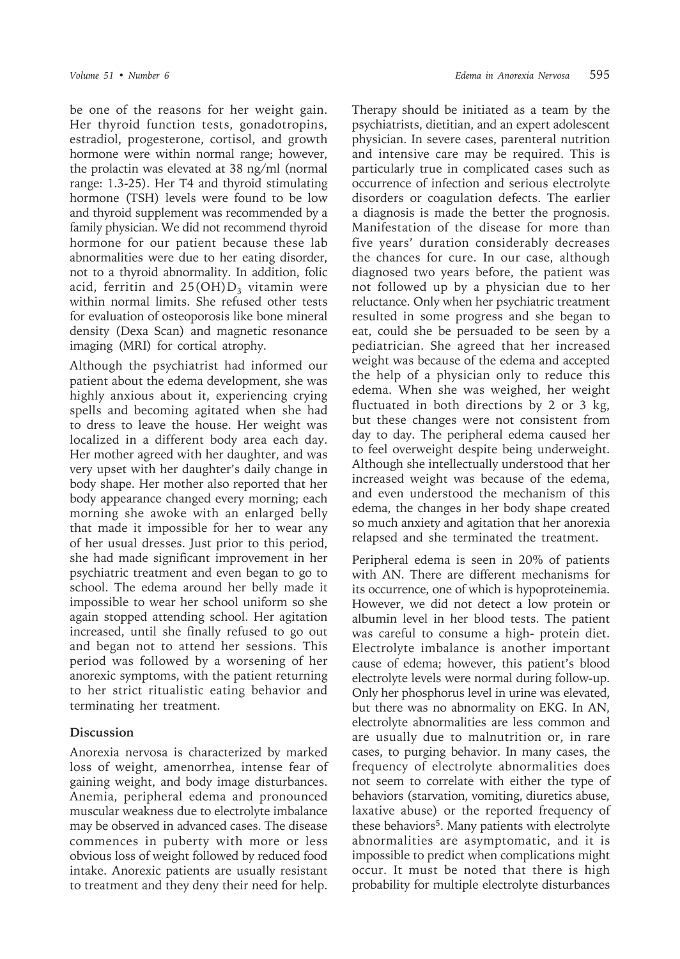be one of the reasons for her weight gain. Her thyroid function tests, gonadotropins, estradiol, progesterone, cortisol, and growth hormone were within normal range; however, the prolactin was elevated at 38 ng/ml (normal range: 1.3-25). Her T4 and thyroid stimulating hormone (TSH) levels were found to be low and thyroid supplement was recommended by a family physician. We did not recommend thyroid hormone for our patient because these lab abnormalities were due to her eating disorder, not to a thyroid abnormality. In addition, folic acid, ferritin and  $25(OH)D<sub>3</sub>$  vitamin were within normal limits. She refused other tests for evaluation of osteoporosis like bone mineral density (Dexa Scan) and magnetic resonance imaging (MRI) for cortical atrophy.

Although the psychiatrist had informed our patient about the edema development, she was highly anxious about it, experiencing crying spells and becoming agitated when she had to dress to leave the house. Her weight was localized in a different body area each day. Her mother agreed with her daughter, and was very upset with her daughter's daily change in body shape. Her mother also reported that her body appearance changed every morning; each morning she awoke with an enlarged belly that made it impossible for her to wear any of her usual dresses. Just prior to this period, she had made significant improvement in her psychiatric treatment and even began to go to school. The edema around her belly made it impossible to wear her school uniform so she again stopped attending school. Her agitation increased, until she finally refused to go out and began not to attend her sessions. This period was followed by a worsening of her anorexic symptoms, with the patient returning to her strict ritualistic eating behavior and terminating her treatment.

## **Discussion**

Anorexia nervosa is characterized by marked loss of weight, amenorrhea, intense fear of gaining weight, and body image disturbances. Anemia, peripheral edema and pronounced muscular weakness due to electrolyte imbalance may be observed in advanced cases. The disease commences in puberty with more or less obvious loss of weight followed by reduced food intake. Anorexic patients are usually resistant to treatment and they deny their need for help.

Therapy should be initiated as a team by the psychiatrists, dietitian, and an expert adolescent physician. In severe cases, parenteral nutrition and intensive care may be required. This is particularly true in complicated cases such as occurrence of infection and serious electrolyte disorders or coagulation defects. The earlier a diagnosis is made the better the prognosis. Manifestation of the disease for more than five years' duration considerably decreases the chances for cure. In our case, although diagnosed two years before, the patient was not followed up by a physician due to her reluctance. Only when her psychiatric treatment resulted in some progress and she began to eat, could she be persuaded to be seen by a pediatrician. She agreed that her increased weight was because of the edema and accepted the help of a physician only to reduce this edema. When she was weighed, her weight fluctuated in both directions by 2 or 3 kg, but these changes were not consistent from day to day. The peripheral edema caused her to feel overweight despite being underweight. Although she intellectually understood that her increased weight was because of the edema, and even understood the mechanism of this edema, the changes in her body shape created so much anxiety and agitation that her anorexia relapsed and she terminated the treatment.

Peripheral edema is seen in 20% of patients with AN. There are different mechanisms for its occurrence, one of which is hypoproteinemia. However, we did not detect a low protein or albumin level in her blood tests. The patient was careful to consume a high- protein diet. Electrolyte imbalance is another important cause of edema; however, this patient's blood electrolyte levels were normal during follow-up. Only her phosphorus level in urine was elevated, but there was no abnormality on EKG. In AN, electrolyte abnormalities are less common and are usually due to malnutrition or, in rare cases, to purging behavior. In many cases, the frequency of electrolyte abnormalities does not seem to correlate with either the type of behaviors (starvation, vomiting, diuretics abuse, laxative abuse) or the reported frequency of these behaviors<sup>5</sup>. Many patients with electrolyte abnormalities are asymptomatic, and it is impossible to predict when complications might occur. It must be noted that there is high probability for multiple electrolyte disturbances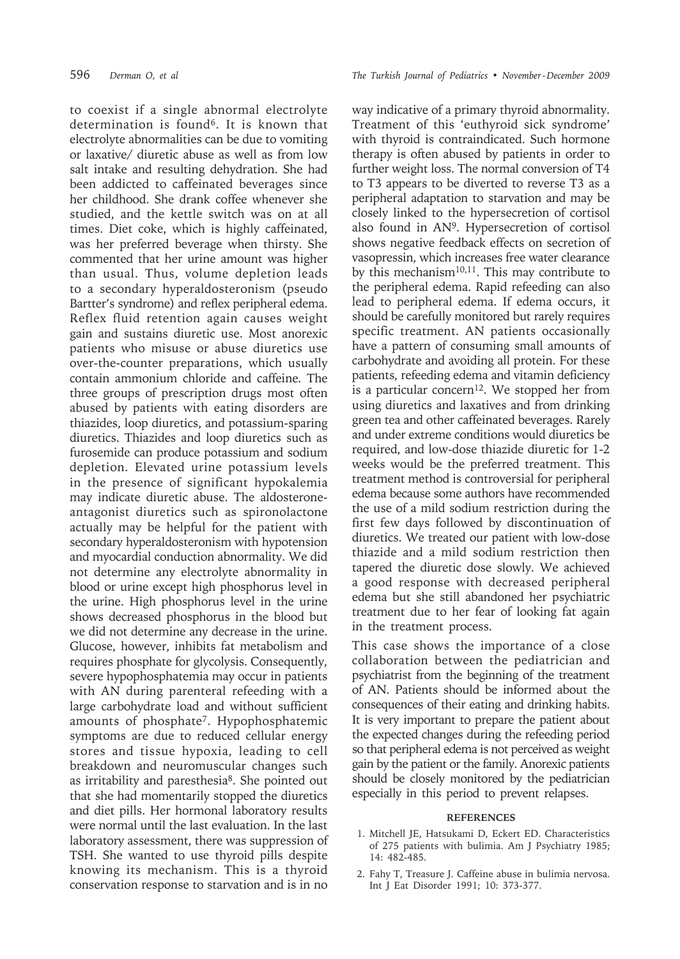to coexist if a single abnormal electrolyte determination is found6. It is known that electrolyte abnormalities can be due to vomiting or laxative/ diuretic abuse as well as from low salt intake and resulting dehydration. She had been addicted to caffeinated beverages since her childhood. She drank coffee whenever she studied, and the kettle switch was on at all times. Diet coke, which is highly caffeinated, was her preferred beverage when thirsty. She commented that her urine amount was higher than usual. Thus, volume depletion leads to a secondary hyperaldosteronism (pseudo Bartter's syndrome) and reflex peripheral edema. Reflex fluid retention again causes weight gain and sustains diuretic use. Most anorexic patients who misuse or abuse diuretics use over-the-counter preparations, which usually contain ammonium chloride and caffeine. The three groups of prescription drugs most often abused by patients with eating disorders are thiazides, loop diuretics, and potassium-sparing diuretics. Thiazides and loop diuretics such as furosemide can produce potassium and sodium depletion. Elevated urine potassium levels in the presence of significant hypokalemia may indicate diuretic abuse. The aldosteroneantagonist diuretics such as spironolactone actually may be helpful for the patient with secondary hyperaldosteronism with hypotension and myocardial conduction abnormality. We did not determine any electrolyte abnormality in blood or urine except high phosphorus level in the urine. High phosphorus level in the urine shows decreased phosphorus in the blood but we did not determine any decrease in the urine. Glucose, however, inhibits fat metabolism and requires phosphate for glycolysis. Consequently, severe hypophosphatemia may occur in patients with AN during parenteral refeeding with a large carbohydrate load and without sufficient amounts of phosphate7. Hypophosphatemic symptoms are due to reduced cellular energy stores and tissue hypoxia, leading to cell breakdown and neuromuscular changes such as irritability and paresthesia<sup>8</sup>. She pointed out that she had momentarily stopped the diuretics and diet pills. Her hormonal laboratory results were normal until the last evaluation. In the last laboratory assessment, there was suppression of TSH. She wanted to use thyroid pills despite knowing its mechanism. This is a thyroid conservation response to starvation and is in no

596 *Derman O, et al The Turkish Journal of Pediatrics • November - December 2009*

way indicative of a primary thyroid abnormality. Treatment of this 'euthyroid sick syndrome' with thyroid is contraindicated. Such hormone therapy is often abused by patients in order to further weight loss. The normal conversion of T4 to T3 appears to be diverted to reverse T3 as a peripheral adaptation to starvation and may be closely linked to the hypersecretion of cortisol also found in AN9. Hypersecretion of cortisol shows negative feedback effects on secretion of vasopressin, which increases free water clearance by this mechanism<sup>10,11</sup>. This may contribute to the peripheral edema. Rapid refeeding can also lead to peripheral edema. If edema occurs, it should be carefully monitored but rarely requires specific treatment. AN patients occasionally have a pattern of consuming small amounts of carbohydrate and avoiding all protein. For these patients, refeeding edema and vitamin deficiency is a particular concern<sup>12</sup>. We stopped her from using diuretics and laxatives and from drinking green tea and other caffeinated beverages. Rarely and under extreme conditions would diuretics be required, and low-dose thiazide diuretic for 1-2 weeks would be the preferred treatment. This treatment method is controversial for peripheral edema because some authors have recommended the use of a mild sodium restriction during the first few days followed by discontinuation of diuretics. We treated our patient with low-dose thiazide and a mild sodium restriction then tapered the diuretic dose slowly. We achieved a good response with decreased peripheral edema but she still abandoned her psychiatric treatment due to her fear of looking fat again in the treatment process.

This case shows the importance of a close collaboration between the pediatrician and psychiatrist from the beginning of the treatment of AN. Patients should be informed about the consequences of their eating and drinking habits. It is very important to prepare the patient about the expected changes during the refeeding period so that peripheral edema is not perceived as weight gain by the patient or the family. Anorexic patients should be closely monitored by the pediatrician especially in this period to prevent relapses.

## **REFERENCES**

- 1. Mitchell JE, Hatsukami D, Eckert ED. Characteristics of 275 patients with bulimia. Am J Psychiatry 1985; 14: 482-485.
- 2. Fahy T, Treasure J. Caffeine abuse in bulimia nervosa. Int J Eat Disorder 1991; 10: 373-377.